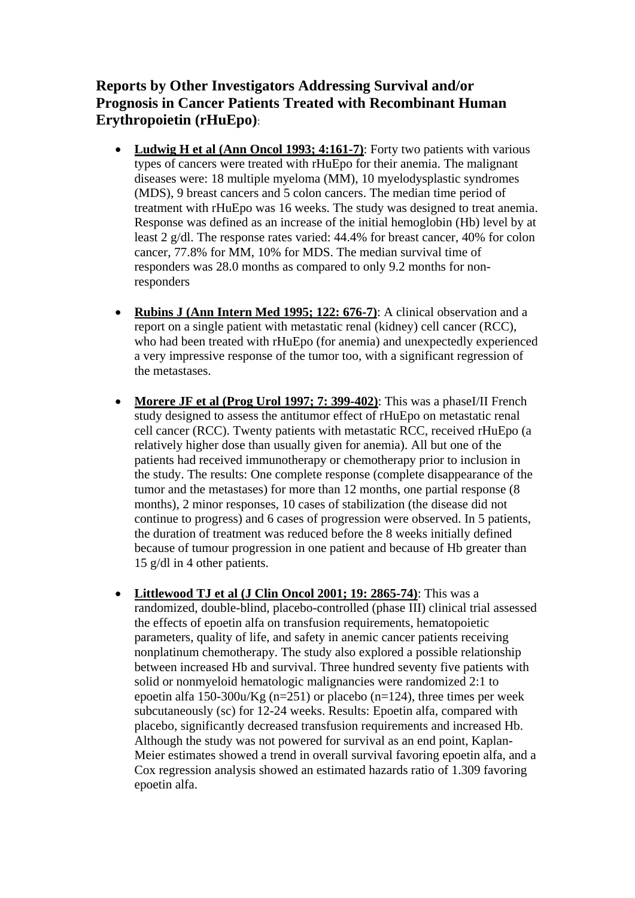**Reports by Other Investigators Addressing Survival and/or Prognosis in Cancer Patients Treated with Recombinant Human Erythropoietin (rHuEpo)**:

- **Ludwig H et al (Ann Oncol 1993; 4:161-7)**: Forty two patients with various types of cancers were treated with rHuEpo for their anemia. The malignant diseases were: 18 multiple myeloma (MM), 10 myelodysplastic syndromes (MDS), 9 breast cancers and 5 colon cancers. The median time period of treatment with rHuEpo was 16 weeks. The study was designed to treat anemia. Response was defined as an increase of the initial hemoglobin (Hb) level by at least 2 g/dl. The response rates varied: 44.4% for breast cancer, 40% for colon cancer, 77.8% for MM, 10% for MDS. The median survival time of responders was 28.0 months as compared to only 9.2 months for nonresponders
- **Rubins J (Ann Intern Med 1995; 122: 676-7)**: A clinical observation and a report on a single patient with metastatic renal (kidney) cell cancer (RCC), who had been treated with rHuEpo (for anemia) and unexpectedly experienced a very impressive response of the tumor too, with a significant regression of the metastases.
- **Morere JF et al (Prog Urol 1997; 7: 399-402)**: This was a phaseI/II French study designed to assess the antitumor effect of rHuEpo on metastatic renal cell cancer (RCC). Twenty patients with metastatic RCC, received rHuEpo (a relatively higher dose than usually given for anemia). All but one of the patients had received immunotherapy or chemotherapy prior to inclusion in the study. The results: One complete response (complete disappearance of the tumor and the metastases) for more than 12 months, one partial response (8 months), 2 minor responses, 10 cases of stabilization (the disease did not continue to progress) and 6 cases of progression were observed. In 5 patients, the duration of treatment was reduced before the 8 weeks initially defined because of tumour progression in one patient and because of Hb greater than 15 g/dl in 4 other patients.
- **Littlewood TJ et al (J Clin Oncol 2001; 19: 2865-74)**: This was a randomized, double-blind, placebo-controlled (phase III) clinical trial assessed the effects of epoetin alfa on transfusion requirements, hematopoietic parameters, quality of life, and safety in anemic cancer patients receiving nonplatinum chemotherapy. The study also explored a possible relationship between increased Hb and survival. Three hundred seventy five patients with solid or nonmyeloid hematologic malignancies were randomized 2:1 to epoetin alfa 150-300u/Kg (n=251) or placebo (n=124), three times per week subcutaneously (sc) for 12-24 weeks. Results: Epoetin alfa, compared with placebo, significantly decreased transfusion requirements and increased Hb. Although the study was not powered for survival as an end point, Kaplan-Meier estimates showed a trend in overall survival favoring epoetin alfa, and a Cox regression analysis showed an estimated hazards ratio of 1.309 favoring epoetin alfa.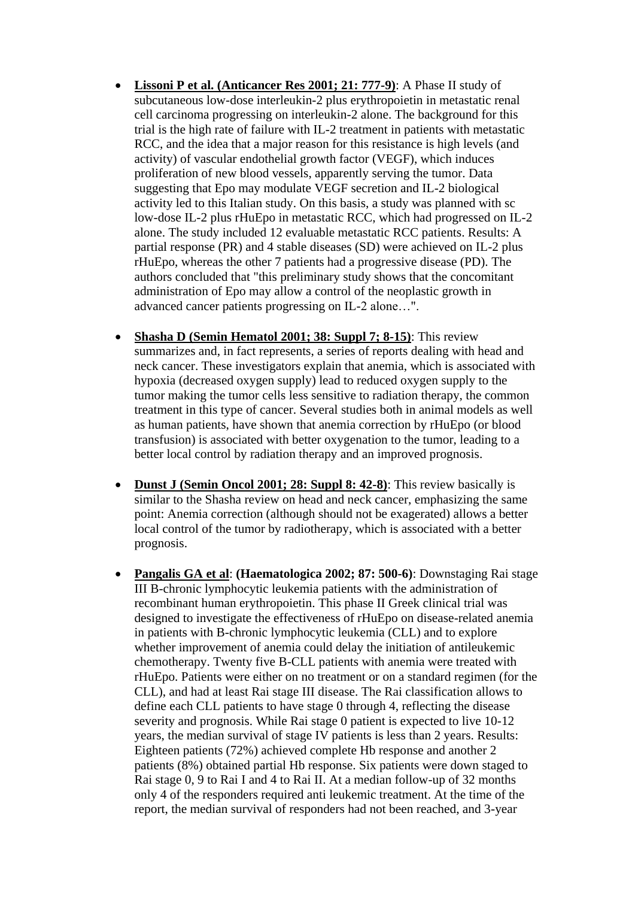- **Lissoni P et al. (Anticancer Res 2001; 21: 777-9)**: A Phase II study of subcutaneous low-dose interleukin-2 plus erythropoietin in metastatic renal cell carcinoma progressing on interleukin-2 alone. The background for this trial is the high rate of failure with IL-2 treatment in patients with metastatic RCC, and the idea that a major reason for this resistance is high levels (and activity) of vascular endothelial growth factor (VEGF), which induces proliferation of new blood vessels, apparently serving the tumor. Data suggesting that Epo may modulate VEGF secretion and IL-2 biological activity led to this Italian study. On this basis, a study was planned with sc low-dose IL-2 plus rHuEpo in metastatic RCC, which had progressed on IL-2 alone. The study included 12 evaluable metastatic RCC patients. Results: A partial response (PR) and 4 stable diseases (SD) were achieved on IL-2 plus rHuEpo, whereas the other 7 patients had a progressive disease (PD). The authors concluded that "this preliminary study shows that the concomitant administration of Epo may allow a control of the neoplastic growth in advanced cancer patients progressing on IL-2 alone…".
- **Shasha D (Semin Hematol 2001; 38: Suppl 7; 8-15)**: This review summarizes and, in fact represents, a series of reports dealing with head and neck cancer. These investigators explain that anemia, which is associated with hypoxia (decreased oxygen supply) lead to reduced oxygen supply to the tumor making the tumor cells less sensitive to radiation therapy, the common treatment in this type of cancer. Several studies both in animal models as well as human patients, have shown that anemia correction by rHuEpo (or blood transfusion) is associated with better oxygenation to the tumor, leading to a better local control by radiation therapy and an improved prognosis.
- Dunst J (Semin Oncol 2001; 28: Suppl 8: 42-8): This review basically is similar to the Shasha review on head and neck cancer, emphasizing the same point: Anemia correction (although should not be exagerated) allows a better local control of the tumor by radiotherapy, which is associated with a better prognosis.
- **Pangalis GA et al**: **(Haematologica 2002; 87: 500-6)**: Downstaging Rai stage III B-chronic lymphocytic leukemia patients with the administration of recombinant human erythropoietin. This phase II Greek clinical trial was designed to investigate the effectiveness of rHuEpo on disease-related anemia in patients with B-chronic lymphocytic leukemia (CLL) and to explore whether improvement of anemia could delay the initiation of antileukemic chemotherapy. Twenty five B-CLL patients with anemia were treated with rHuEpo. Patients were either on no treatment or on a standard regimen (for the CLL), and had at least Rai stage III disease. The Rai classification allows to define each CLL patients to have stage 0 through 4, reflecting the disease severity and prognosis. While Rai stage 0 patient is expected to live 10-12 years, the median survival of stage IV patients is less than 2 years. Results: Eighteen patients (72%) achieved complete Hb response and another 2 patients (8%) obtained partial Hb response. Six patients were down staged to Rai stage 0, 9 to Rai I and 4 to Rai II. At a median follow-up of 32 months only 4 of the responders required anti leukemic treatment. At the time of the report, the median survival of responders had not been reached, and 3-year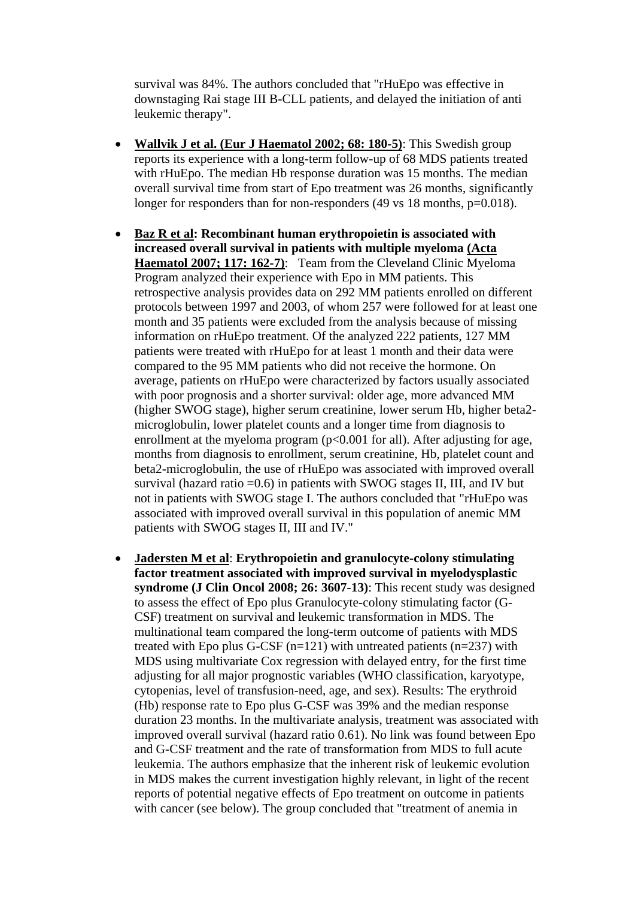survival was 84%. The authors concluded that "rHuEpo was effective in downstaging Rai stage III B-CLL patients, and delayed the initiation of anti leukemic therapy".

- **Wallvik J et al. (Eur J Haematol 2002; 68: 180-5)**: This Swedish group reports its experience with a long-term follow-up of 68 MDS patients treated with rHuEpo. The median Hb response duration was 15 months. The median overall survival time from start of Epo treatment was 26 months, significantly longer for responders than for non-responders (49 vs 18 months, p=0.018).
- **Baz R et al: Recombinant human erythropoietin is associated with increased overall survival in patients with multiple myeloma (Acta**  Haematol 2007; 117: 162-7): Team from the Cleveland Clinic Myeloma Program analyzed their experience with Epo in MM patients. This retrospective analysis provides data on 292 MM patients enrolled on different protocols between 1997 and 2003, of whom 257 were followed for at least one month and 35 patients were excluded from the analysis because of missing information on rHuEpo treatment. Of the analyzed 222 patients, 127 MM patients were treated with rHuEpo for at least 1 month and their data were compared to the 95 MM patients who did not receive the hormone. On average, patients on rHuEpo were characterized by factors usually associated with poor prognosis and a shorter survival: older age, more advanced MM (higher SWOG stage), higher serum creatinine, lower serum Hb, higher beta2 microglobulin, lower platelet counts and a longer time from diagnosis to enrollment at the myeloma program  $(p<0.001$  for all). After adjusting for age, months from diagnosis to enrollment, serum creatinine, Hb, platelet count and beta2-microglobulin, the use of rHuEpo was associated with improved overall survival (hazard ratio  $=0.6$ ) in patients with SWOG stages II, III, and IV but not in patients with SWOG stage I. The authors concluded that "rHuEpo was associated with improved overall survival in this population of anemic MM patients with SWOG stages II, III and IV."
- **Jadersten M et al**: **Erythropoietin and granulocyte-colony stimulating factor treatment associated with improved survival in myelodysplastic syndrome (J Clin Oncol 2008; 26: 3607-13)**: This recent study was designed to assess the effect of Epo plus Granulocyte-colony stimulating factor (G-CSF) treatment on survival and leukemic transformation in MDS. The multinational team compared the long-term outcome of patients with MDS treated with Epo plus G-CSF  $(n=121)$  with untreated patients  $(n=237)$  with MDS using multivariate Cox regression with delayed entry, for the first time adjusting for all major prognostic variables (WHO classification, karyotype, cytopenias, level of transfusion-need, age, and sex). Results: The erythroid (Hb) response rate to Epo plus G-CSF was 39% and the median response duration 23 months. In the multivariate analysis, treatment was associated with improved overall survival (hazard ratio 0.61). No link was found between Epo and G-CSF treatment and the rate of transformation from MDS to full acute leukemia. The authors emphasize that the inherent risk of leukemic evolution in MDS makes the current investigation highly relevant, in light of the recent reports of potential negative effects of Epo treatment on outcome in patients with cancer (see below). The group concluded that "treatment of anemia in